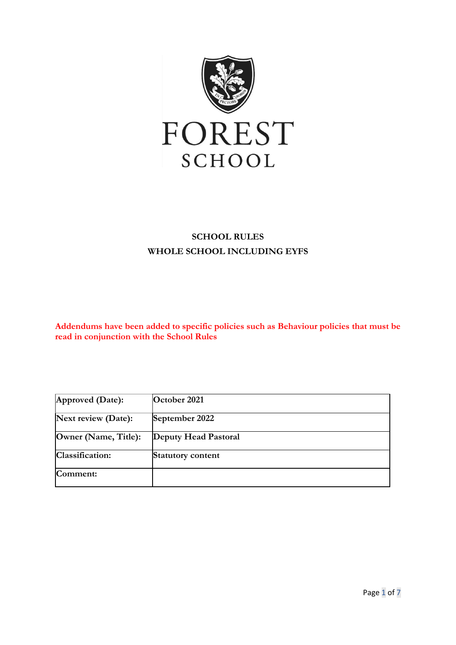

## **SCHOOL RULES WHOLE SCHOOL INCLUDING EYFS**

**Addendums have been added to specific policies such as Behaviour policies that must be read in conjunction with the School Rules**

| Approved $(Date)$ :  | October 2021         |
|----------------------|----------------------|
| Next review (Date):  | September 2022       |
| Owner (Name, Title): | Deputy Head Pastoral |
| Classification:      | Statutory content    |
| Comment:             |                      |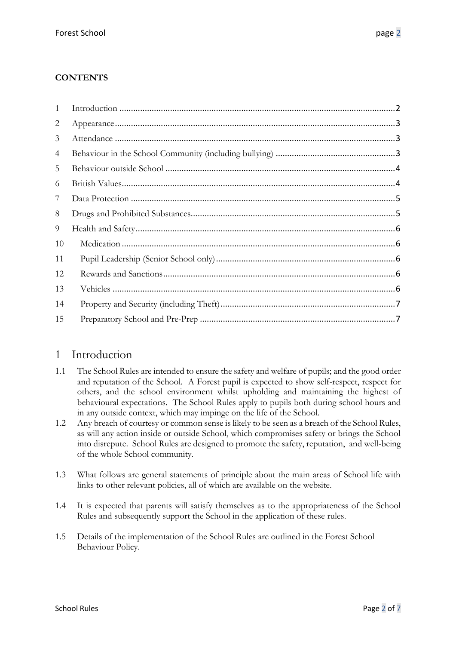#### **CONTENTS**

| 1              |  |
|----------------|--|
| $\overline{2}$ |  |
| 3              |  |
| 4              |  |
| 5              |  |
| 6              |  |
| 7              |  |
| 8              |  |
| 9              |  |
| 10             |  |
| 11             |  |
| 12             |  |
| 13             |  |
| 14             |  |
| 15             |  |

### <span id="page-1-0"></span>1 Introduction

- 1.1 The School Rules are intended to ensure the safety and welfare of pupils; and the good order and reputation of the School. A Forest pupil is expected to show self-respect, respect for others, and the school environment whilst upholding and maintaining the highest of behavioural expectations. The School Rules apply to pupils both during school hours and in any outside context, which may impinge on the life of the School.
- 1.2 Any breach of courtesy or common sense is likely to be seen as a breach of the School Rules, as will any action inside or outside School, which compromises safety or brings the School into disrepute. School Rules are designed to promote the safety, reputation, and well-being of the whole School community.
- 1.3 What follows are general statements of principle about the main areas of School life with links to other relevant policies, all of which are available on the website.
- 1.4 It is expected that parents will satisfy themselves as to the appropriateness of the School Rules and subsequently support the School in the application of these rules.
- 1.5 Details of the implementation of the School Rules are outlined in the Forest School Behaviour Policy.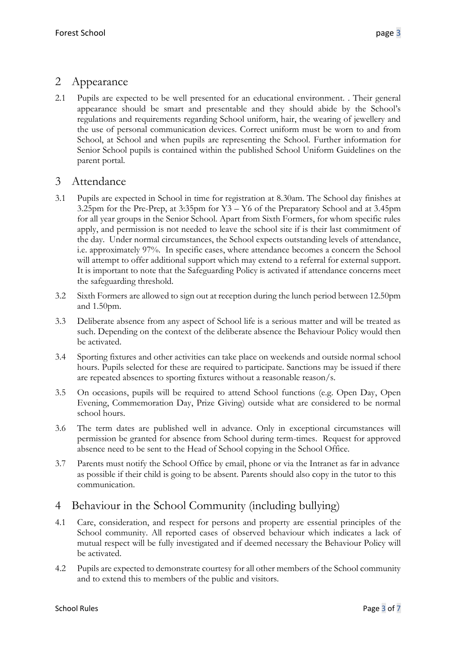## <span id="page-2-0"></span>2 Appearance

2.1 Pupils are expected to be well presented for an educational environment. . Their general appearance should be smart and presentable and they should abide by the School's regulations and requirements regarding School uniform, hair, the wearing of jewellery and the use of personal communication devices. Correct uniform must be worn to and from School, at School and when pupils are representing the School. Further information for Senior School pupils is contained within the published School Uniform Guidelines on the parent portal.

### <span id="page-2-1"></span>3 Attendance

- 3.1 Pupils are expected in School in time for registration at 8.30am. The School day finishes at 3.25pm for the Pre-Prep, at 3:35pm for Y3 – Y6 of the Preparatory School and at 3.45pm for all year groups in the Senior School. Apart from Sixth Formers, for whom specific rules apply, and permission is not needed to leave the school site if is their last commitment of the day. Under normal circumstances, the School expects outstanding levels of attendance, i.e. approximately 97%. In specific cases, where attendance becomes a concern the School will attempt to offer additional support which may extend to a referral for external support. It is important to note that the Safeguarding Policy is activated if attendance concerns meet the safeguarding threshold.
- 3.2 Sixth Formers are allowed to sign out at reception during the lunch period between 12.50pm and 1.50pm.
- 3.3 Deliberate absence from any aspect of School life is a serious matter and will be treated as such. Depending on the context of the deliberate absence the Behaviour Policy would then be activated.
- 3.4 Sporting fixtures and other activities can take place on weekends and outside normal school hours. Pupils selected for these are required to participate. Sanctions may be issued if there are repeated absences to sporting fixtures without a reasonable reason/s.
- 3.5 On occasions, pupils will be required to attend School functions (e.g. Open Day, Open Evening, Commemoration Day, Prize Giving) outside what are considered to be normal school hours.
- 3.6 The term dates are published well in advance. Only in exceptional circumstances will permission be granted for absence from School during term-times. Request for approved absence need to be sent to the Head of School copying in the School Office.
- 3.7 Parents must notify the School Office by email, phone or via the Intranet as far in advance as possible if their child is going to be absent. Parents should also copy in the tutor to this communication.

# <span id="page-2-2"></span>4 Behaviour in the School Community (including bullying)

- 4.1 Care, consideration, and respect for persons and property are essential principles of the School community. All reported cases of observed behaviour which indicates a lack of mutual respect will be fully investigated and if deemed necessary the Behaviour Policy will be activated.
- 4.2 Pupils are expected to demonstrate courtesy for all other members of the School community and to extend this to members of the public and visitors.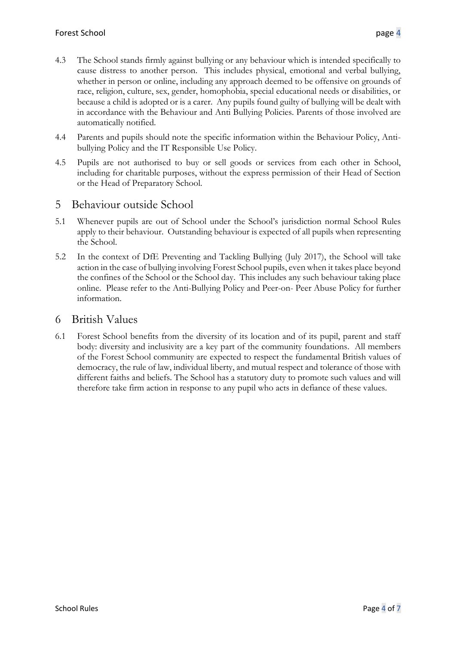- 4.3 The School stands firmly against bullying or any behaviour which is intended specifically to cause distress to another person. This includes physical, emotional and verbal bullying, whether in person or online, including any approach deemed to be offensive on grounds of race, religion, culture, sex, gender, homophobia, special educational needs or disabilities, or because a child is adopted or is a carer. Any pupils found guilty of bullying will be dealt with in accordance with the Behaviour and Anti Bullying Policies. Parents of those involved are automatically notified.
- 4.4 Parents and pupils should note the specific information within the Behaviour Policy, Antibullying Policy and the IT Responsible Use Policy.
- 4.5 Pupils are not authorised to buy or sell goods or services from each other in School, including for charitable purposes, without the express permission of their Head of Section or the Head of Preparatory School.

#### <span id="page-3-0"></span>5 Behaviour outside School

- 5.1 Whenever pupils are out of School under the School's jurisdiction normal School Rules apply to their behaviour. Outstanding behaviour is expected of all pupils when representing the School.
- 5.2 In the context of DfE Preventing and Tackling Bullying (July 2017), the School will take action in the case of bullying involving Forest School pupils, even when it takes place beyond the confines of the School or the School day. This includes any such behaviour taking place online. Please refer to the Anti-Bullying Policy and Peer-on- Peer Abuse Policy for further information.

#### <span id="page-3-1"></span>6 British Values

6.1 Forest School benefits from the diversity of its location and of its pupil, parent and staff body: diversity and inclusivity are a key part of the community foundations. All members of the Forest School community are expected to respect the fundamental British values of democracy, the rule of law, individual liberty, and mutual respect and tolerance of those with different faiths and beliefs. The School has a statutory duty to promote such values and will therefore take firm action in response to any pupil who acts in defiance of these values.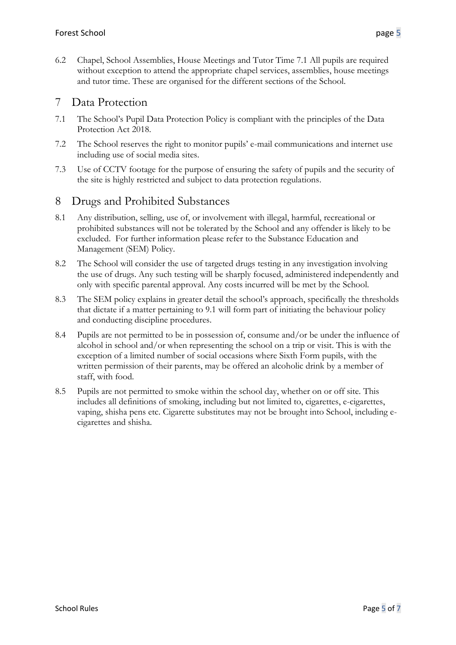6.2 Chapel, School Assemblies, House Meetings and Tutor Time 7.1 All pupils are required without exception to attend the appropriate chapel services, assemblies, house meetings and tutor time. These are organised for the different sections of the School.

### <span id="page-4-0"></span>7 Data Protection

- 7.1 The School's Pupil Data Protection Policy is compliant with the principles of the Data Protection Act 2018.
- 7.2 The School reserves the right to monitor pupils' e-mail communications and internet use including use of social media sites.
- 7.3 Use of CCTV footage for the purpose of ensuring the safety of pupils and the security of the site is highly restricted and subject to data protection regulations.

#### <span id="page-4-1"></span>8 Drugs and Prohibited Substances

- 8.1 Any distribution, selling, use of, or involvement with illegal, harmful, recreational or prohibited substances will not be tolerated by the School and any offender is likely to be excluded. For further information please refer to the Substance Education and Management (SEM) Policy.
- 8.2 The School will consider the use of targeted drugs testing in any investigation involving the use of drugs. Any such testing will be sharply focused, administered independently and only with specific parental approval. Any costs incurred will be met by the School.
- 8.3 The SEM policy explains in greater detail the school's approach, specifically the thresholds that dictate if a matter pertaining to 9.1 will form part of initiating the behaviour policy and conducting discipline procedures.
- 8.4 Pupils are not permitted to be in possession of, consume and/or be under the influence of alcohol in school and/or when representing the school on a trip or visit. This is with the exception of a limited number of social occasions where Sixth Form pupils, with the written permission of their parents, may be offered an alcoholic drink by a member of staff, with food.
- 8.5 Pupils are not permitted to smoke within the school day, whether on or off site. This includes all definitions of smoking, including but not limited to, cigarettes, e-cigarettes, vaping, shisha pens etc. Cigarette substitutes may not be brought into School, including ecigarettes and shisha.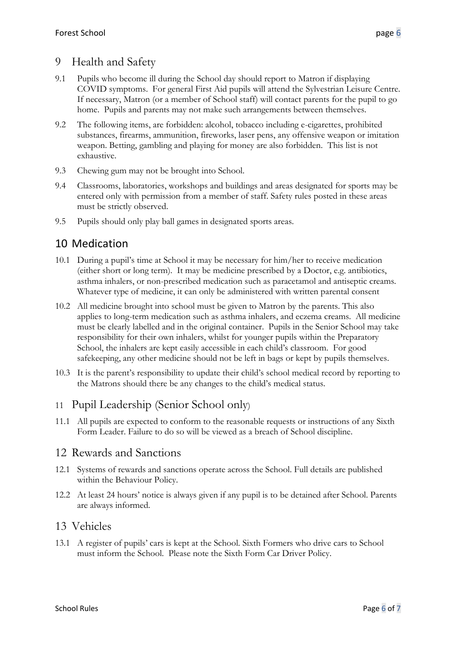## <span id="page-5-0"></span>9 Health and Safety

- 9.1 Pupils who become ill during the School day should report to Matron if displaying COVID symptoms. For general First Aid pupils will attend the Sylvestrian Leisure Centre. If necessary, Matron (or a member of School staff) will contact parents for the pupil to go home. Pupils and parents may not make such arrangements between themselves.
- 9.2 The following items, are forbidden: alcohol, tobacco including e-cigarettes, prohibited substances, firearms, ammunition, fireworks, laser pens, any offensive weapon or imitation weapon. Betting, gambling and playing for money are also forbidden. This list is not exhaustive.
- 9.3 Chewing gum may not be brought into School.
- 9.4 Classrooms, laboratories, workshops and buildings and areas designated for sports may be entered only with permission from a member of staff. Safety rules posted in these areas must be strictly observed.
- 9.5 Pupils should only play ball games in designated sports areas.

## <span id="page-5-1"></span>10 Medication

- 10.1 During a pupil's time at School it may be necessary for him/her to receive medication (either short or long term). It may be medicine prescribed by a Doctor, e.g. antibiotics, asthma inhalers, or non-prescribed medication such as paracetamol and antiseptic creams. Whatever type of medicine, it can only be administered with written parental consent
- 10.2 All medicine brought into school must be given to Matron by the parents. This also applies to long-term medication such as asthma inhalers, and eczema creams. All medicine must be clearly labelled and in the original container. Pupils in the Senior School may take responsibility for their own inhalers, whilst for younger pupils within the Preparatory School, the inhalers are kept easily accessible in each child's classroom. For good safekeeping, any other medicine should not be left in bags or kept by pupils themselves.
- 10.3 It is the parent's responsibility to update their child's school medical record by reporting to the Matrons should there be any changes to the child's medical status.

### <span id="page-5-2"></span>11 Pupil Leadership (Senior School only)

11.1 All pupils are expected to conform to the reasonable requests or instructions of any Sixth Form Leader. Failure to do so will be viewed as a breach of School discipline.

#### <span id="page-5-3"></span>12 Rewards and Sanctions

- 12.1 Systems of rewards and sanctions operate across the School. Full details are published within the Behaviour Policy.
- 12.2 At least 24 hours' notice is always given if any pupil is to be detained after School. Parents are always informed.

#### <span id="page-5-4"></span>13 Vehicles

13.1 A register of pupils' cars is kept at the School. Sixth Formers who drive cars to School must inform the School. Please note the Sixth Form Car Driver Policy.